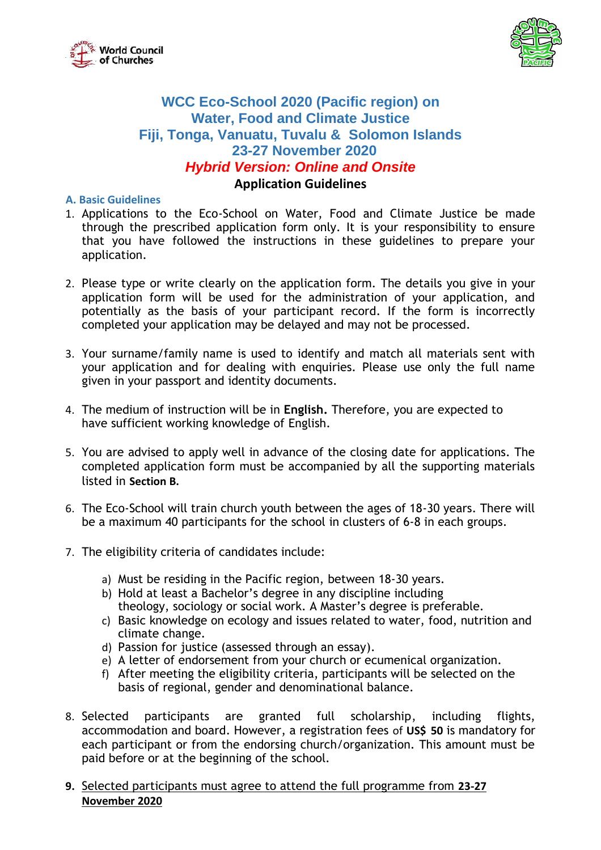



# **WCC Eco-School 2020 (Pacific region) on Water, Food and Climate Justice Fiji, Tonga, Vanuatu, Tuvalu & Solomon Islands 23-27 November 2020** *Hybrid Version: Online and Onsite*

## **Application Guidelines**

#### **A. Basic Guidelines**

- 1. Applications to the Eco-School on Water, Food and Climate Justice be made through the prescribed application form only. It is your responsibility to ensure that you have followed the instructions in these guidelines to prepare your application.
- 2. Please type or write clearly on the application form. The details you give in your application form will be used for the administration of your application, and potentially as the basis of your participant record. If the form is incorrectly completed your application may be delayed and may not be processed.
- 3. Your surname/family name is used to identify and match all materials sent with your application and for dealing with enquiries. Please use only the full name given in your passport and identity documents.
- 4. The medium of instruction will be in **English.** Therefore, you are expected to have sufficient working knowledge of English.
- 5. You are advised to apply well in advance of the closing date for applications. The completed application form must be accompanied by all the supporting materials listed in **Section B.**
- 6. The Eco-School will train church youth between the ages of 18-30 years. There will be a maximum 40 participants for the school in clusters of 6-8 in each groups.
- 7. The eligibility criteria of candidates include:
	- a) Must be residing in the Pacific region, between 18-30 years.
	- b) Hold at least a Bachelor's degree in any discipline including theology, sociology or social work. A Master's degree is preferable.
	- c) Basic knowledge on ecology and issues related to water, food, nutrition and climate change.
	- d) Passion for justice (assessed through an essay).
	- e) A letter of endorsement from your church or ecumenical organization.
	- f) After meeting the eligibility criteria, participants will be selected on the basis of regional, gender and denominational balance.
- 8. Selected participants are granted full scholarship, including flights, accommodation and board. However, a registration fees of **US\$ 50** is mandatory for each participant or from the endorsing church/organization. This amount must be paid before or at the beginning of the school.
- **9.** Selected participants must agree to attend the full programme from **23-27 November 2020**